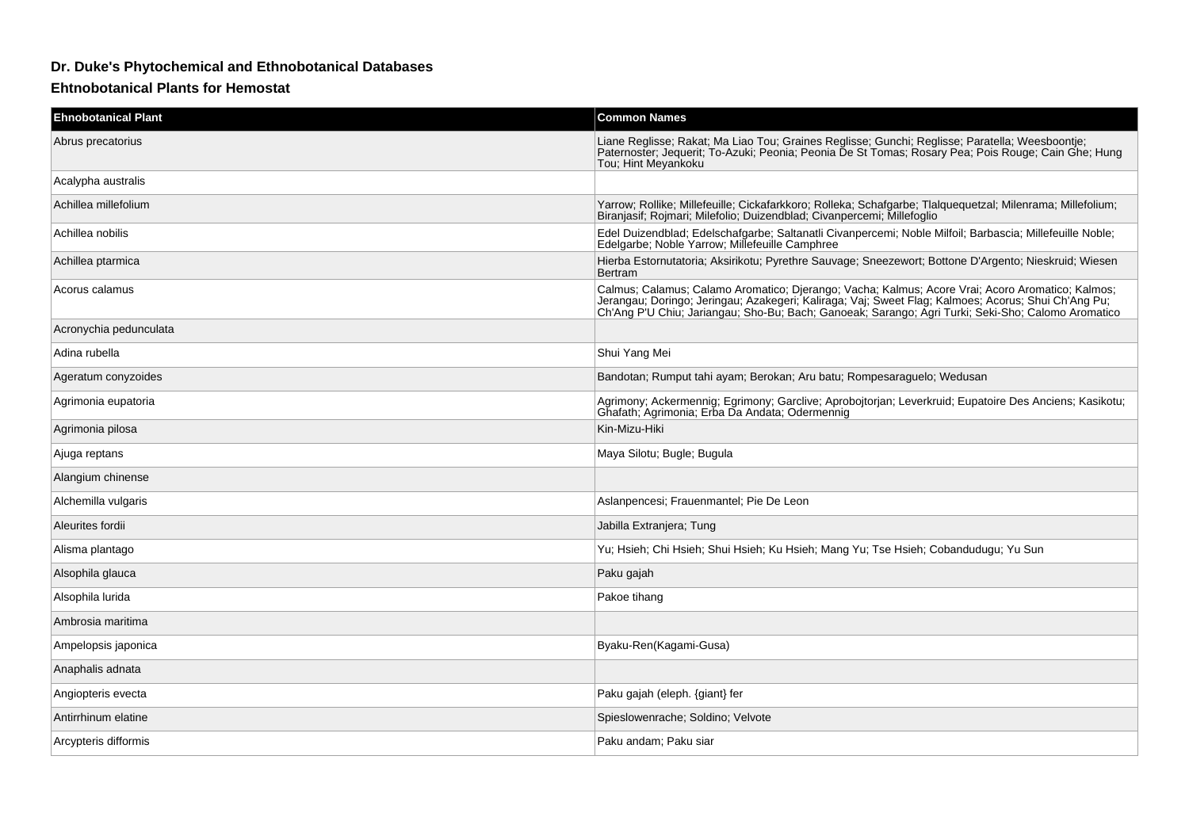## **Dr. Duke's Phytochemical and Ethnobotanical Databases**

## **Ehtnobotanical Plants for Hemostat**

| <b>Ehnobotanical Plant</b> | <b>Common Names</b>                                                                                                                                                                                                                                                                                            |
|----------------------------|----------------------------------------------------------------------------------------------------------------------------------------------------------------------------------------------------------------------------------------------------------------------------------------------------------------|
| Abrus precatorius          | Liane Reglisse; Rakat; Ma Liao Tou; Graines Reglisse; Gunchi; Reglisse; Paratella; Weesboontje;<br>Paternoster; Jequerit; To-Azuki; Peonia; Peonia De St Tomas; Rosary Pea; Pois Rouge; Cain Ghe; Hung<br>Tou; Hint Meyankoku                                                                                  |
| Acalypha australis         |                                                                                                                                                                                                                                                                                                                |
| Achillea millefolium       | Yarrow; Rollike; Millefeuille; Cickafarkkoro; Rolleka; Schafgarbe; Tlalquequetzal; Milenrama; Millefolium;<br>Biranjasif; Rojmari; Milefolio; Duizendblad; Civanpercemi; Millefoglio                                                                                                                           |
| Achillea nobilis           | Edel Duizendblad; Edelschafgarbe; Saltanatli Civanpercemi; Noble Milfoil; Barbascia; Millefeuille Noble;<br>Edelgarbe; Noble Yarrow; Millefeuille Camphree                                                                                                                                                     |
| Achillea ptarmica          | Hierba Estornutatoria; Aksirikotu; Pyrethre Sauvage; Sneezewort; Bottone D'Argento; Nieskruid; Wiesen<br>Bertram                                                                                                                                                                                               |
| Acorus calamus             | Calmus; Calamus; Calamo Aromatico; Djerango; Vacha; Kalmus; Acore Vrai; Acoro Aromatico; Kalmos;<br>Jerangau; Domingo; Jeringau; Azakegeri; Kaliraga; Vaj; Sweet Flag; Kalimoes; Acorus; Shui Ch'Ang Pu;<br>Ch'Ang P'U Chiu; Jariangau; Sho-Bu; Bach; Ganoeak; Sarango; Agri Turki; Seki-Sho; Calomo Aromatico |
| Acronychia pedunculata     |                                                                                                                                                                                                                                                                                                                |
| Adina rubella              | Shui Yang Mei                                                                                                                                                                                                                                                                                                  |
| Ageratum conyzoides        | Bandotan; Rumput tahi ayam; Berokan; Aru batu; Rompesaraguelo; Wedusan                                                                                                                                                                                                                                         |
| Agrimonia eupatoria        | Agrimony; Ackermennig; Egrimony; Garclive; Aprobojtorjan; Leverkruid; Eupatoire Des Anciens; Kasikotu;<br>Ghafath: Agrimonia; Erba Da Andata; Odermennig                                                                                                                                                       |
| Agrimonia pilosa           | Kin-Mizu-Hiki                                                                                                                                                                                                                                                                                                  |
| Ajuga reptans              | Maya Silotu; Bugle; Bugula                                                                                                                                                                                                                                                                                     |
| Alangium chinense          |                                                                                                                                                                                                                                                                                                                |
| Alchemilla vulgaris        | Aslanpencesi; Frauenmantel; Pie De Leon                                                                                                                                                                                                                                                                        |
| Aleurites fordii           | Jabilla Extranjera; Tung                                                                                                                                                                                                                                                                                       |
| Alisma plantago            | Yu; Hsieh; Chi Hsieh; Shui Hsieh; Ku Hsieh; Mang Yu; Tse Hsieh; Cobandudugu; Yu Sun                                                                                                                                                                                                                            |
| Alsophila glauca           | Paku gajah                                                                                                                                                                                                                                                                                                     |
| Alsophila lurida           | Pakoe tihang                                                                                                                                                                                                                                                                                                   |
| Ambrosia maritima          |                                                                                                                                                                                                                                                                                                                |
| Ampelopsis japonica        | Byaku-Ren(Kagami-Gusa)                                                                                                                                                                                                                                                                                         |
| Anaphalis adnata           |                                                                                                                                                                                                                                                                                                                |
| Angiopteris evecta         | Paku gajah (eleph. {giant} fer                                                                                                                                                                                                                                                                                 |
| Antirrhinum elatine        | Spieslowenrache; Soldino; Velvote                                                                                                                                                                                                                                                                              |
| Arcypteris difformis       | Paku andam: Paku siar                                                                                                                                                                                                                                                                                          |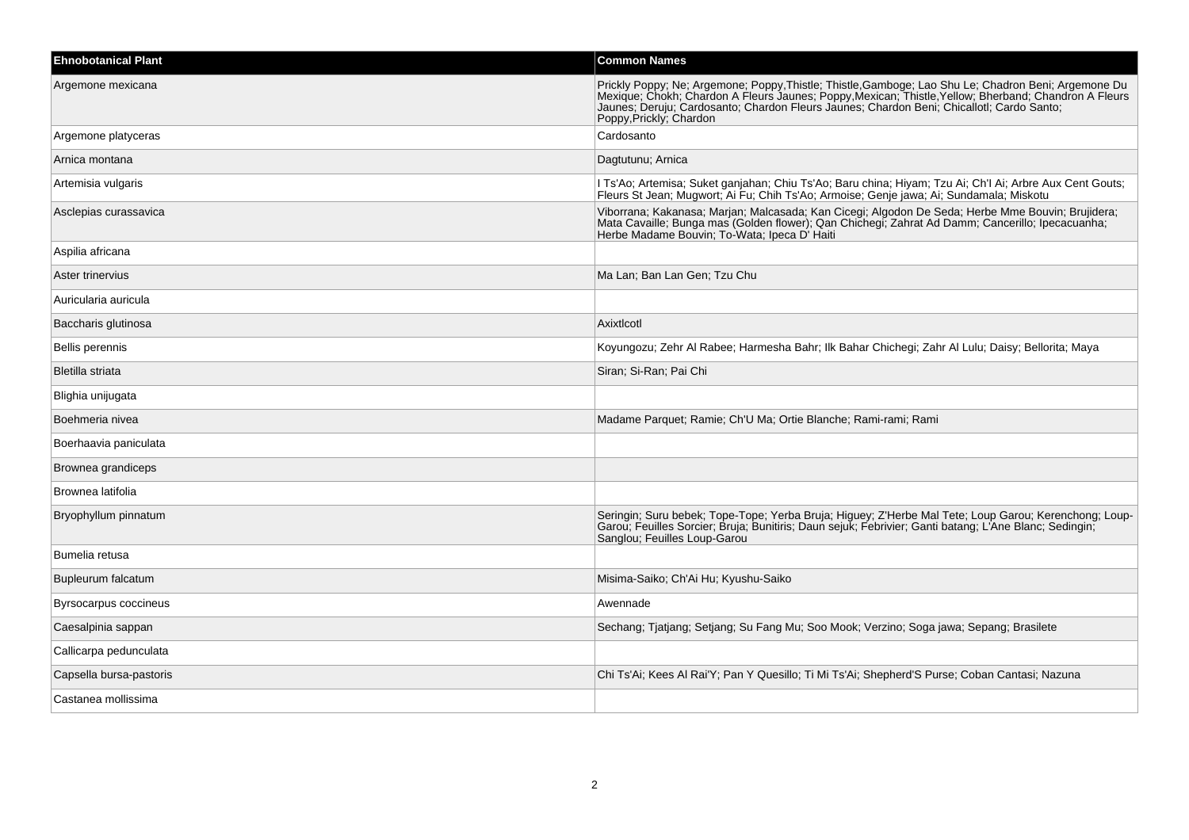| <b>Ehnobotanical Plant</b> | <b>Common Names</b>                                                                                                                                                                                                                                                                                                                   |
|----------------------------|---------------------------------------------------------------------------------------------------------------------------------------------------------------------------------------------------------------------------------------------------------------------------------------------------------------------------------------|
| Argemone mexicana          | Prickly Poppy; Ne; Argemone; Poppy, Thistle; Thistle, Gamboge; Lao Shu Le; Chadron Beni; Argemone Du<br>Mexique; Chokh; Chardon A Fleurs Jaunes; Poppy, Mexican; Thistle, Yellow; Bherband; Chandron A Fleurs<br>Jaunes; Deruju; Cardosanto; Chardon Fleurs Jaunes; Chardon Beni; Chicallotl; Cardo Santo;<br>Poppy, Prickly; Chardon |
| Argemone platyceras        | Cardosanto                                                                                                                                                                                                                                                                                                                            |
| Arnica montana             | Dagtutunu; Arnica                                                                                                                                                                                                                                                                                                                     |
| Artemisia vulgaris         | I Ts'Ao; Artemisa; Suket ganjahan; Chiu Ts'Ao; Baru china; Hiyam; Tzu Ai; Ch'l Ai; Arbre Aux Cent Gouts;<br>Fleurs St Jean; Mugwort; Ai Fu; Chih Ts'Ao; Armoise; Genje jawa; Ai; Sundamala; Miskotu                                                                                                                                   |
| Asclepias curassavica      | Viborrana; Kakanasa; Marjan; Malcasada; Kan Cicegi; Algodon De Seda; Herbe Mme Bouvin; Brujidera;<br>Mata Cavaille; Bunga mas (Golden flower); Qan Chichegi; Zahrat Ad Damm; Cancerillo; Ipecacuanha;<br>Herbe Madame Bouvin; To-Wata; Ipeca D' Haiti                                                                                 |
| Aspilia africana           |                                                                                                                                                                                                                                                                                                                                       |
| Aster trinervius           | Ma Lan; Ban Lan Gen; Tzu Chu                                                                                                                                                                                                                                                                                                          |
| Auricularia auricula       |                                                                                                                                                                                                                                                                                                                                       |
| Baccharis glutinosa        | Axixtlcotl                                                                                                                                                                                                                                                                                                                            |
| <b>Bellis perennis</b>     | Koyungozu; Zehr Al Rabee; Harmesha Bahr; Ilk Bahar Chichegi; Zahr Al Lulu; Daisy; Bellorita; Maya                                                                                                                                                                                                                                     |
| Bletilla striata           | Siran; Si-Ran; Pai Chi                                                                                                                                                                                                                                                                                                                |
| Blighia unijugata          |                                                                                                                                                                                                                                                                                                                                       |
| Boehmeria nivea            | Madame Parquet; Ramie; Ch'U Ma; Ortie Blanche; Rami-rami; Rami                                                                                                                                                                                                                                                                        |
| Boerhaavia paniculata      |                                                                                                                                                                                                                                                                                                                                       |
| Brownea grandiceps         |                                                                                                                                                                                                                                                                                                                                       |
| Brownea latifolia          |                                                                                                                                                                                                                                                                                                                                       |
| Bryophyllum pinnatum       | Seringin; Suru bebek; Tope-Tope; Yerba Bruja; Higuey; Z'Herbe Mal Tete; Loup Garou; Kerenchong; Loup-<br>Garou; Feuilles Sorcier; Bruja; Bunitiris; Daun sejuk; Febrivier; Ganti batang; L'Ane Blanc; Sedingin;<br>Sanglou; Feuilles Loup-Garou                                                                                       |
| Bumelia retusa             |                                                                                                                                                                                                                                                                                                                                       |
| Bupleurum falcatum         | Misima-Saiko; Ch'Ai Hu; Kyushu-Saiko                                                                                                                                                                                                                                                                                                  |
| Byrsocarpus coccineus      | Awennade                                                                                                                                                                                                                                                                                                                              |
| Caesalpinia sappan         | Sechang; Tjatjang; Setjang; Su Fang Mu; Soo Mook; Verzino; Soga jawa; Sepang; Brasilete                                                                                                                                                                                                                                               |
| Callicarpa pedunculata     |                                                                                                                                                                                                                                                                                                                                       |
| Capsella bursa-pastoris    | Chi Ts'Ai; Kees Al Rai'Y; Pan Y Quesillo; Ti Mi Ts'Ai; Shepherd'S Purse; Coban Cantasi; Nazuna                                                                                                                                                                                                                                        |
| Castanea mollissima        |                                                                                                                                                                                                                                                                                                                                       |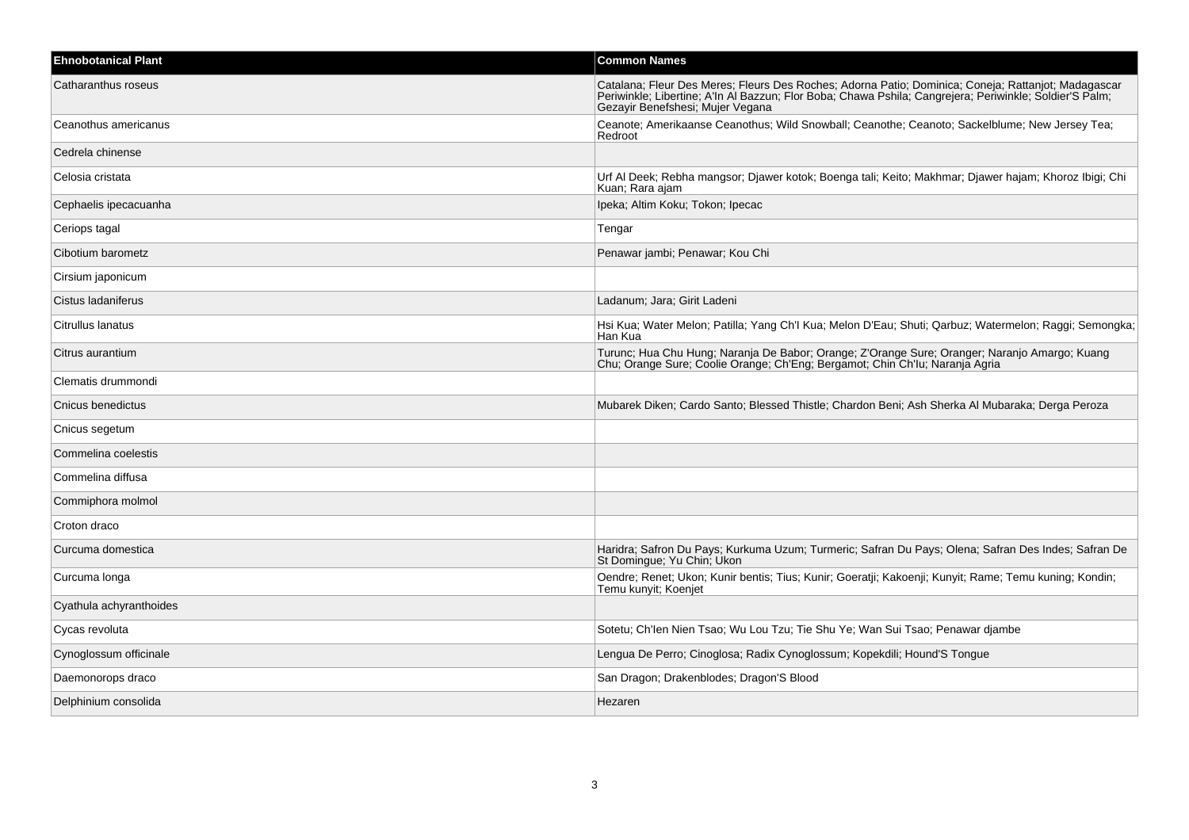| <b>Ehnobotanical Plant</b> | <b>Common Names</b>                                                                                                                                                                                                                                |
|----------------------------|----------------------------------------------------------------------------------------------------------------------------------------------------------------------------------------------------------------------------------------------------|
| Catharanthus roseus        | Catalana; Fleur Des Meres; Fleurs Des Roches; Adorna Patio; Dominica; Coneja; Rattanjot; Madagascar<br>Periwinkle; Libertine; A'ln Al Bazzun; Flor Boba; Chawa Pshila; Cangrejera; Periwinkle; Soldier'S Palm;<br>Gezayir Benefshesi; Mujer Vegana |
| Ceanothus americanus       | Ceanote; Amerikaanse Ceanothus; Wild Snowball; Ceanothe; Ceanoto; Sackelblume; New Jersey Tea;<br>Redroot                                                                                                                                          |
| Cedrela chinense           |                                                                                                                                                                                                                                                    |
| Celosia cristata           | Urf Al Deek; Rebha mangsor; Djawer kotok; Boenga tali; Keito; Makhmar; Djawer hajam; Khoroz Ibigi; Chi<br>Kuan; Rara ajam                                                                                                                          |
| Cephaelis ipecacuanha      | Ipeka; Altim Koku; Tokon; Ipecac                                                                                                                                                                                                                   |
| Ceriops tagal              | Tengar                                                                                                                                                                                                                                             |
| Cibotium barometz          | Penawar jambi; Penawar; Kou Chi                                                                                                                                                                                                                    |
| Cirsium japonicum          |                                                                                                                                                                                                                                                    |
| Cistus ladaniferus         | Ladanum; Jara; Girit Ladeni                                                                                                                                                                                                                        |
| Citrullus lanatus          | Hsi Kua; Water Melon; Patilla; Yang Ch'l Kua; Melon D'Eau; Shuti; Qarbuz; Watermelon; Raggi; Semongka;<br>Han Kua                                                                                                                                  |
| Citrus aurantium           | Turunc; Hua Chu Hung; Naranja De Babor; Orange; Z'Orange Sure; Oranger; Naranjo Amargo; Kuang<br>Chu; Orange Sure; Coolie Orange; Ch'Eng; Bergamot; Chin Ch'lu; Naranja Agria                                                                      |
| Clematis drummondi         |                                                                                                                                                                                                                                                    |
| Cnicus benedictus          | Mubarek Diken; Cardo Santo; Blessed Thistle; Chardon Beni; Ash Sherka Al Mubaraka; Derga Peroza                                                                                                                                                    |
| Cnicus segetum             |                                                                                                                                                                                                                                                    |
| Commelina coelestis        |                                                                                                                                                                                                                                                    |
| Commelina diffusa          |                                                                                                                                                                                                                                                    |
| Commiphora molmol          |                                                                                                                                                                                                                                                    |
| Croton draco               |                                                                                                                                                                                                                                                    |
| Curcuma domestica          | Haridra; Safron Du Pays; Kurkuma Uzum; Turmeric; Safran Du Pays; Olena; Safran Des Indes; Safran De<br>St Domingue: Yu Chin: Ukon                                                                                                                  |
| Curcuma longa              | Oendre; Renet; Ukon; Kunir bentis; Tius; Kunir; Goeratji; Kakoenji; Kunyit; Rame; Temu kuning; Kondin;<br>Temu kunyit; Koenjet                                                                                                                     |
| Cyathula achyranthoides    |                                                                                                                                                                                                                                                    |
| Cycas revoluta             | Sotetu; Ch'len Nien Tsao; Wu Lou Tzu; Tie Shu Ye; Wan Sui Tsao; Penawar djambe                                                                                                                                                                     |
| Cynoglossum officinale     | Lengua De Perro; Cinoglosa; Radix Cynoglossum; Kopekdili; Hound'S Tongue                                                                                                                                                                           |
| Daemonorops draco          | San Dragon; Drakenblodes; Dragon'S Blood                                                                                                                                                                                                           |
| Delphinium consolida       | Hezaren                                                                                                                                                                                                                                            |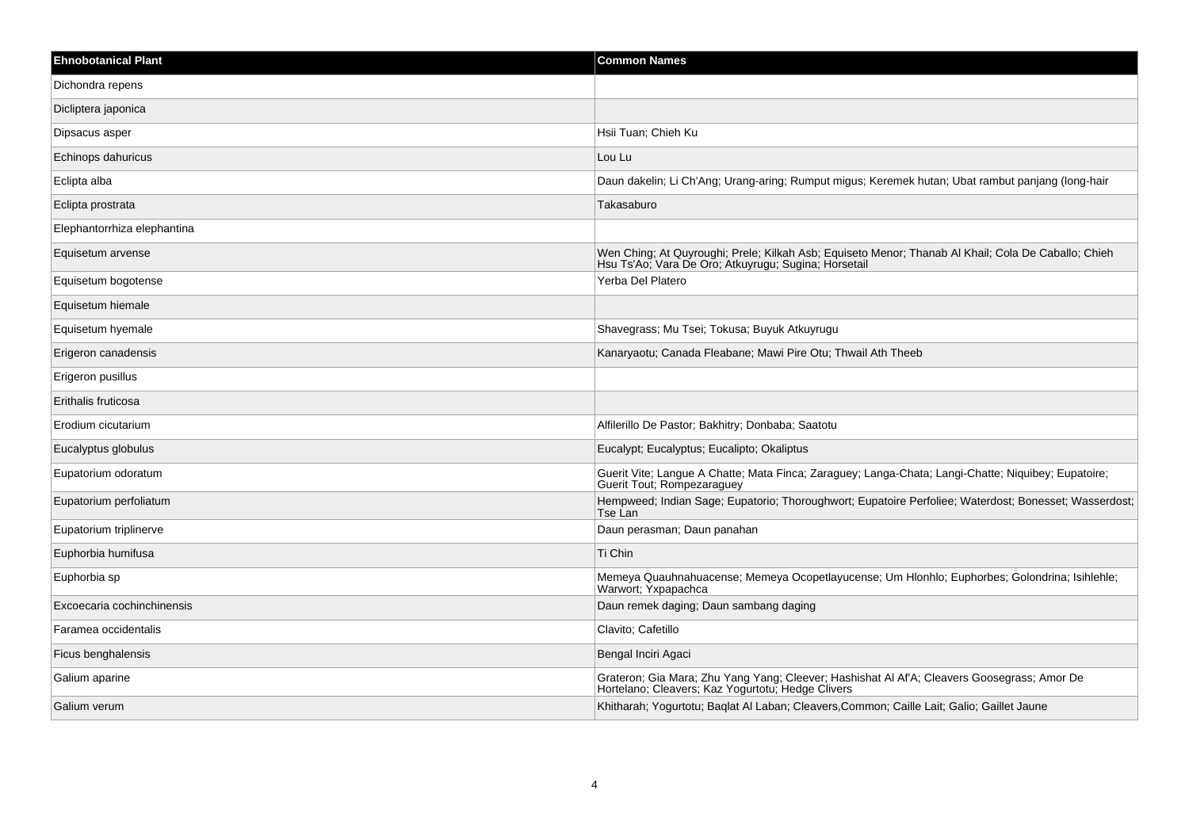| <b>Ehnobotanical Plant</b>  | <b>Common Names</b>                                                                                                                                         |
|-----------------------------|-------------------------------------------------------------------------------------------------------------------------------------------------------------|
| Dichondra repens            |                                                                                                                                                             |
| Dicliptera japonica         |                                                                                                                                                             |
| Dipsacus asper              | Hsii Tuan; Chieh Ku                                                                                                                                         |
| Echinops dahuricus          | Lou Lu                                                                                                                                                      |
| Eclipta alba                | Daun dakelin; Li Ch'Ang; Urang-aring; Rumput migus; Keremek hutan; Ubat rambut panjang (long-hair                                                           |
| Eclipta prostrata           | Takasaburo                                                                                                                                                  |
| Elephantorrhiza elephantina |                                                                                                                                                             |
| Equisetum arvense           | Wen Ching; At Quyroughi; Prele; Kilkah Asb; Equiseto Menor; Thanab Al Khail; Cola De Caballo; Chieh<br>Hsu Ts'Ao, Vara De Oro, Atkuyrugu, Sugina, Horsetail |
| Equisetum bogotense         | Yerba Del Platero                                                                                                                                           |
| Equisetum hiemale           |                                                                                                                                                             |
| Equisetum hyemale           | Shavegrass; Mu Tsei; Tokusa; Buyuk Atkuyrugu                                                                                                                |
| Erigeron canadensis         | Kanaryaotu; Canada Fleabane; Mawi Pire Otu; Thwail Ath Theeb                                                                                                |
| Erigeron pusillus           |                                                                                                                                                             |
| Erithalis fruticosa         |                                                                                                                                                             |
| Erodium cicutarium          | Alfilerillo De Pastor; Bakhitry; Donbaba; Saatotu                                                                                                           |
| Eucalyptus globulus         | Eucalypt; Eucalyptus; Eucalipto; Okaliptus                                                                                                                  |
| Eupatorium odoratum         | Guerit Vite; Langue A Chatte; Mata Finca; Zaraguey; Langa-Chata; Langi-Chatte; Niquibey; Eupatoire;<br>Guerit Tout; Rompezaraguey                           |
| Eupatorium perfoliatum      | Hempweed; Indian Sage; Eupatorio; Thoroughwort; Eupatoire Perfoliee; Waterdost; Bonesset; Wasserdost;<br>Tse Lan                                            |
| Eupatorium triplinerve      | Daun perasman; Daun panahan                                                                                                                                 |
| Euphorbia humifusa          | Ti Chin                                                                                                                                                     |
| Euphorbia sp                | Memeya Quauhnahuacense; Memeya Ocopetlayucense; Um Hlonhlo; Euphorbes; Golondrina; Isihlehle;<br>Warwort; Yxpapachca                                        |
| Excoecaria cochinchinensis  | Daun remek daging; Daun sambang daging                                                                                                                      |
| Faramea occidentalis        | Clavito; Cafetillo                                                                                                                                          |
| Ficus benghalensis          | Bengal Inciri Agaci                                                                                                                                         |
| Galium aparine              | Grateron; Gia Mara; Zhu Yang Yang; Cleever; Hashishat Al Af'A; Cleavers Goosegrass; Amor De<br>Hortelano; Cleavers; Kaz Yogurtotu; Hedge Clivers            |
| Galium verum                | Khitharah; Yogurtotu; Baqlat Al Laban; Cleavers, Common; Caille Lait; Galio; Gaillet Jaune                                                                  |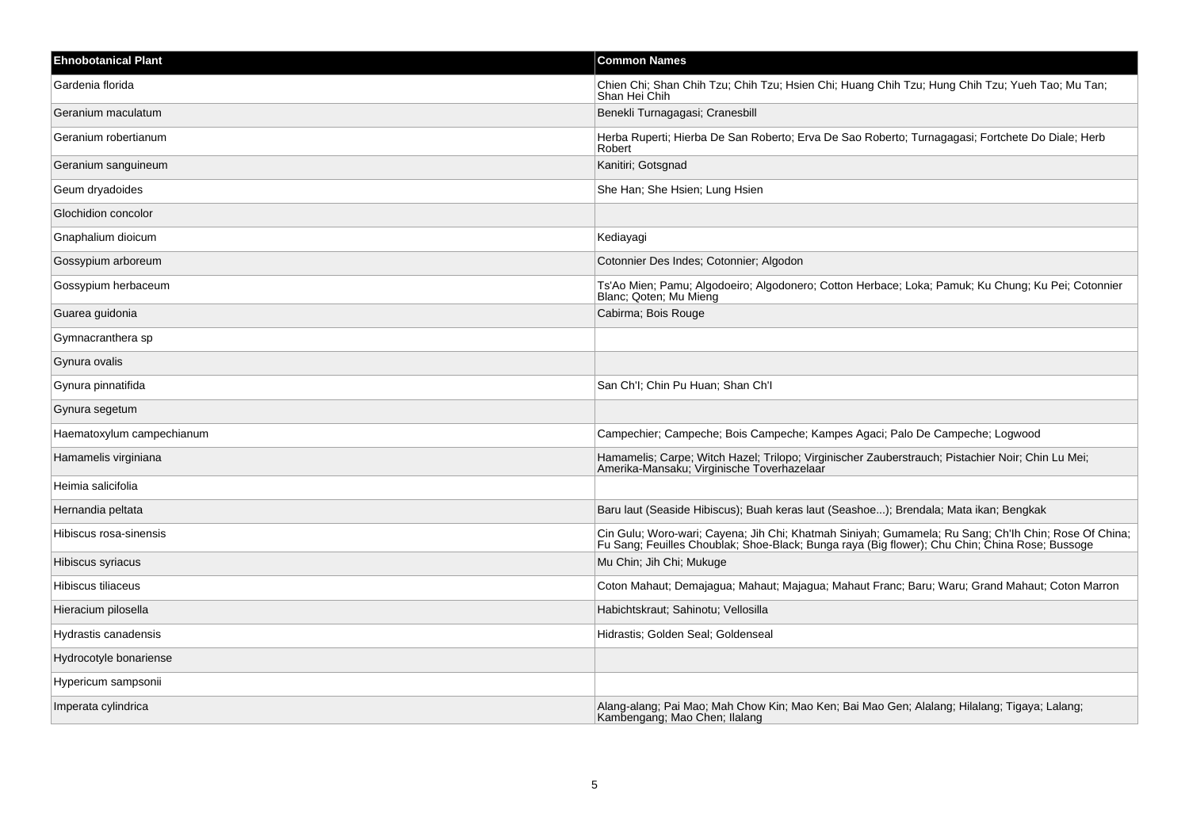| <b>Ehnobotanical Plant</b> | <b>Common Names</b>                                                                                                                                                                                    |
|----------------------------|--------------------------------------------------------------------------------------------------------------------------------------------------------------------------------------------------------|
| Gardenia florida           | Chien Chi; Shan Chih Tzu; Chih Tzu; Hsien Chi; Huang Chih Tzu; Hung Chih Tzu; Yueh Tao; Mu Tan;<br>Shan Hei Chih                                                                                       |
| Geranium maculatum         | Benekli Turnagagasi; Cranesbill                                                                                                                                                                        |
| Geranium robertianum       | Herba Ruperti; Hierba De San Roberto; Erva De Sao Roberto; Turnagagasi; Fortchete Do Diale; Herb<br>Robert                                                                                             |
| Geranium sanguineum        | Kanitiri; Gotsgnad                                                                                                                                                                                     |
| Geum dryadoides            | She Han; She Hsien; Lung Hsien                                                                                                                                                                         |
| Glochidion concolor        |                                                                                                                                                                                                        |
| Gnaphalium dioicum         | Kediayagi                                                                                                                                                                                              |
| Gossypium arboreum         | Cotonnier Des Indes; Cotonnier; Algodon                                                                                                                                                                |
| Gossypium herbaceum        | Ts'Ao Mien; Pamu; Algodoeiro; Algodonero; Cotton Herbace; Loka; Pamuk; Ku Chung; Ku Pei; Cotonnier<br>Blanc; Qoten; Mu Mieng                                                                           |
| Guarea guidonia            | Cabirma; Bois Rouge                                                                                                                                                                                    |
| Gymnacranthera sp          |                                                                                                                                                                                                        |
| Gynura ovalis              |                                                                                                                                                                                                        |
| Gynura pinnatifida         | San Ch'l; Chin Pu Huan; Shan Ch'l                                                                                                                                                                      |
| Gynura segetum             |                                                                                                                                                                                                        |
| Haematoxylum campechianum  | Campechier; Campeche; Bois Campeche; Kampes Agaci; Palo De Campeche; Logwood                                                                                                                           |
| Hamamelis virginiana       | Hamamelis; Carpe; Witch Hazel; Trilopo; Virginischer Zauberstrauch; Pistachier Noir; Chin Lu Mei;<br>Amerika-Mansaku; Virginische Toverhazelaar                                                        |
| Heimia salicifolia         |                                                                                                                                                                                                        |
| Hernandia peltata          | Baru laut (Seaside Hibiscus); Buah keras laut (Seashoe); Brendala; Mata ikan; Bengkak                                                                                                                  |
| Hibiscus rosa-sinensis     | Cin Gulu; Woro-wari; Cayena; Jih Chi; Khatmah Siniyah; Gumamela; Ru Sang; Ch'lh Chin; Rose Of China;<br>Fu Sang; Feuilles Choublak; Shoe-Black; Bunga raya (Big flower); Chu Chin; China Rose; Bussoge |
| Hibiscus syriacus          | Mu Chin; Jih Chi; Mukuge                                                                                                                                                                               |
| Hibiscus tiliaceus         | Coton Mahaut; Demajagua; Mahaut; Majagua; Mahaut Franc; Baru; Waru; Grand Mahaut; Coton Marron                                                                                                         |
| Hieracium pilosella        | Habichtskraut; Sahinotu; Vellosilla                                                                                                                                                                    |
| Hydrastis canadensis       | Hidrastis; Golden Seal; Goldenseal                                                                                                                                                                     |
| Hydrocotyle bonariense     |                                                                                                                                                                                                        |
| Hypericum sampsonii        |                                                                                                                                                                                                        |
| Imperata cylindrica        | Alang-alang; Pai Mao; Mah Chow Kin; Mao Ken; Bai Mao Gen; Alalang; Hilalang; Tigaya; Lalang;<br>Kambengang; Mao Chen; Ilalang                                                                          |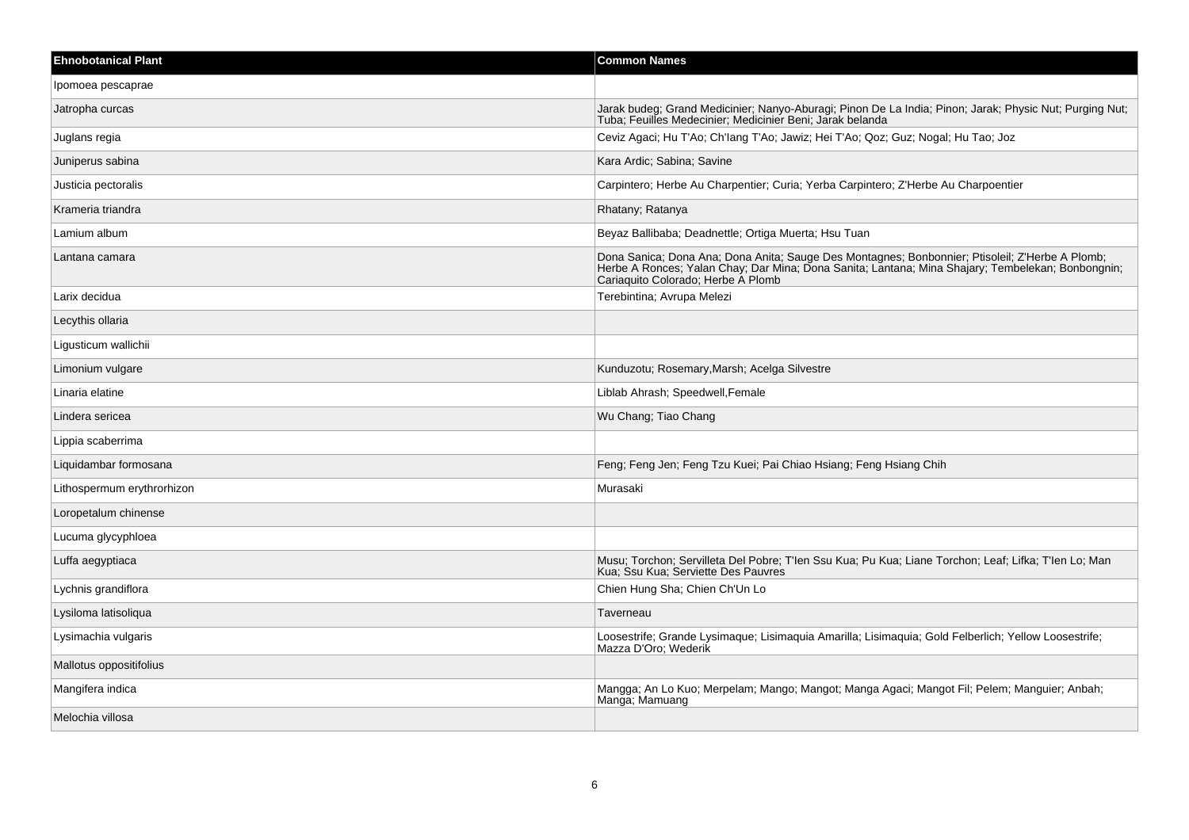| <b>Ehnobotanical Plant</b> | <b>Common Names</b>                                                                                                                                                                                                                        |
|----------------------------|--------------------------------------------------------------------------------------------------------------------------------------------------------------------------------------------------------------------------------------------|
| Ipomoea pescaprae          |                                                                                                                                                                                                                                            |
| Jatropha curcas            | Jarak budeg; Grand Medicinier; Nanyo-Aburagi; Pinon De La India; Pinon; Jarak; Physic Nut; Purging Nut;<br>Tuba; Feuilles Medecinier; Medicinier Beni; Jarak belanda                                                                       |
| Juglans regia              | Ceviz Agaci; Hu T'Ao; Ch'lang T'Ao; Jawiz; Hei T'Ao; Qoz; Guz; Nogal; Hu Tao; Joz                                                                                                                                                          |
| Juniperus sabina           | Kara Ardic; Sabina; Savine                                                                                                                                                                                                                 |
| Justicia pectoralis        | Carpintero; Herbe Au Charpentier; Curia; Yerba Carpintero; Z'Herbe Au Charpoentier                                                                                                                                                         |
| Krameria triandra          | Rhatany; Ratanya                                                                                                                                                                                                                           |
| Lamium album               | Beyaz Ballibaba; Deadnettle; Ortiga Muerta; Hsu Tuan                                                                                                                                                                                       |
| Lantana camara             | Dona Sanica; Dona Ana; Dona Anita; Sauge Des Montagnes; Bonbonnier; Ptisoleil; Z'Herbe A Plomb;<br>Herbe A Ronces; Yalan Chay; Dar Mina; Dona Sanita; Lantana; Mina Shajary; Tembelekan; Bonbongnin;<br>Cariaquito Colorado; Herbe A Plomb |
| Larix decidua              | Terebintina; Avrupa Melezi                                                                                                                                                                                                                 |
| Lecythis ollaria           |                                                                                                                                                                                                                                            |
| Ligusticum wallichii       |                                                                                                                                                                                                                                            |
| Limonium vulgare           | Kunduzotu; Rosemary, Marsh; Acelga Silvestre                                                                                                                                                                                               |
| Linaria elatine            | Liblab Ahrash; Speedwell, Female                                                                                                                                                                                                           |
| Lindera sericea            | Wu Chang; Tiao Chang                                                                                                                                                                                                                       |
| Lippia scaberrima          |                                                                                                                                                                                                                                            |
| Liquidambar formosana      | Feng; Feng Jen; Feng Tzu Kuei; Pai Chiao Hsiang; Feng Hsiang Chih                                                                                                                                                                          |
| Lithospermum erythrorhizon | Murasaki                                                                                                                                                                                                                                   |
| Loropetalum chinense       |                                                                                                                                                                                                                                            |
| Lucuma glycyphloea         |                                                                                                                                                                                                                                            |
| Luffa aegyptiaca           | Musu; Torchon; Servilleta Del Pobre; T'len Ssu Kua; Pu Kua; Liane Torchon; Leaf; Lifka; T'len Lo; Man<br>Kua; Ssu Kua; Serviette Des Pauvres                                                                                               |
| Lychnis grandiflora        | Chien Hung Sha; Chien Ch'Un Lo                                                                                                                                                                                                             |
| Lysiloma latisoliqua       | Taverneau                                                                                                                                                                                                                                  |
| Lysimachia vulgaris        | Loosestrife; Grande Lysimaque; Lisimaquia Amarilla; Lisimaquia; Gold Felberlich; Yellow Loosestrife;<br>Mazza D'Oro; Wederik                                                                                                               |
| Mallotus oppositifolius    |                                                                                                                                                                                                                                            |
| Mangifera indica           | Mangga; An Lo Kuo; Merpelam; Mango; Mangot; Manga Agaci; Mangot Fil; Pelem; Manguier; Anbah;<br>Manga; Mamuang                                                                                                                             |
| Melochia villosa           |                                                                                                                                                                                                                                            |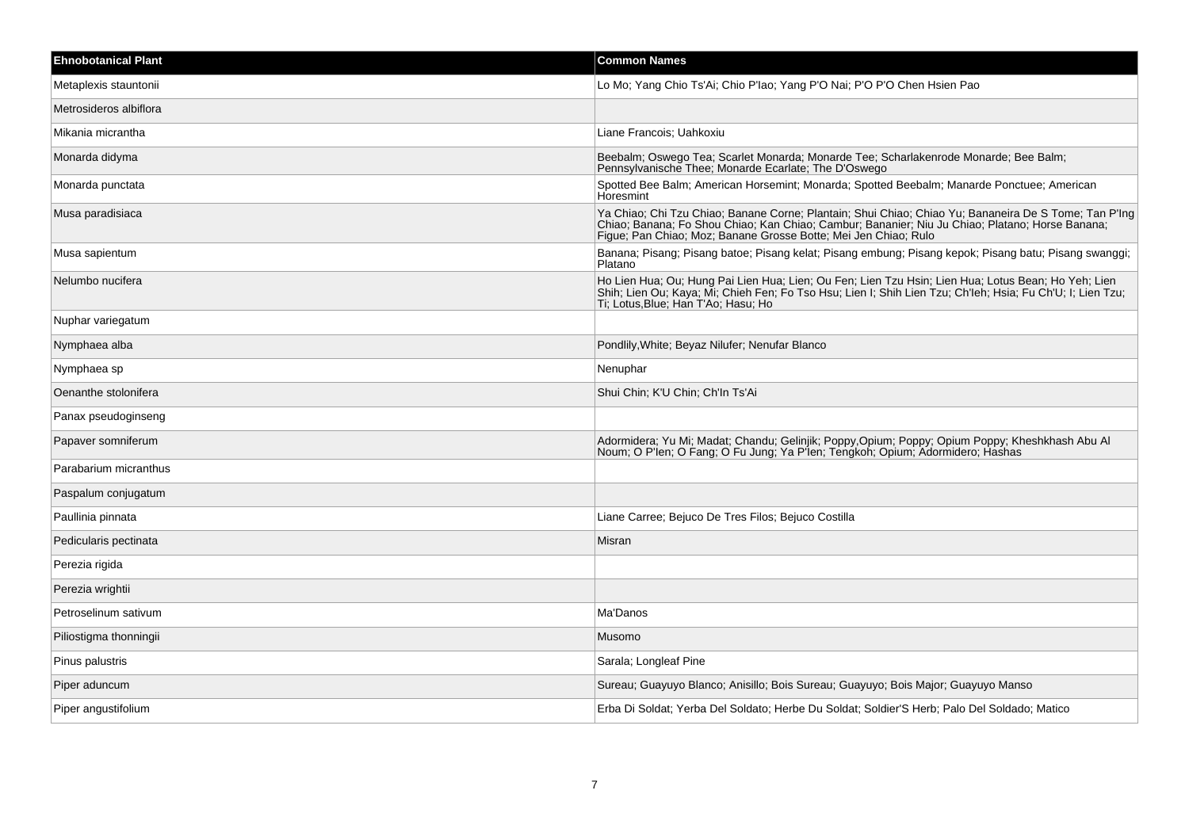| <b>Ehnobotanical Plant</b> | <b>Common Names</b>                                                                                                                                                                                                                                                         |
|----------------------------|-----------------------------------------------------------------------------------------------------------------------------------------------------------------------------------------------------------------------------------------------------------------------------|
| Metaplexis stauntonii      | Lo Mo; Yang Chio Ts'Ai; Chio P'Iao; Yang P'O Nai; P'O P'O Chen Hsien Pao                                                                                                                                                                                                    |
| Metrosideros albiflora     |                                                                                                                                                                                                                                                                             |
| Mikania micrantha          | Liane Francois; Uahkoxiu                                                                                                                                                                                                                                                    |
| Monarda didyma             | Beebalm; Oswego Tea; Scarlet Monarda; Monarde Tee; Scharlakenrode Monarde; Bee Balm;<br>Pennsylvanische Thee; Monarde Ecarlate; The D'Oswego                                                                                                                                |
| Monarda punctata           | Spotted Bee Balm; American Horsemint; Monarda; Spotted Beebalm; Manarde Ponctuee; American<br>Horesmint                                                                                                                                                                     |
| Musa paradisiaca           | Ya Chiao; Chi Tzu Chiao; Banane Corne; Plantain; Shui Chiao; Chiao Yu; Bananeira De S Tome; Tan P'Ing<br>Chiao; Banana; Fo Shou Chiao; Kan Chiao; Cambur; Bananier; Niu Ju Chiao; Platano; Horse Banana;<br>Figue; Pan Chiao; Moz; Banane Grosse Botte; Mei Jen Chiao; Rulo |
| Musa sapientum             | Banana; Pisang; Pisang batoe; Pisang kelat; Pisang embung; Pisang kepok; Pisang batu; Pisang swanggi;<br>Platano                                                                                                                                                            |
| Nelumbo nucifera           | Ho Lien Hua; Ou; Hung Pai Lien Hua; Lien; Ou Fen; Lien Tzu Hsin; Lien Hua; Lotus Bean; Ho Yeh; Lien<br>Shih; Lien Ou; Kaya; Mi; Chieh Fen; Fo Tso Hsu; Lien I; Shih Lien Tzu; Ch'leh; Hsia; Fu Ch'U; I; Lien Tzu;<br>Ti; Lotus, Blue; Han T'Ao; Hasu; Ho                    |
| Nuphar variegatum          |                                                                                                                                                                                                                                                                             |
| Nymphaea alba              | Pondlily, White: Beyaz Nilufer: Nenufar Blanco                                                                                                                                                                                                                              |
| Nymphaea sp                | Nenuphar                                                                                                                                                                                                                                                                    |
| Oenanthe stolonifera       | Shui Chin, K'U Chin, Ch'In Ts'Ai                                                                                                                                                                                                                                            |
| Panax pseudoginseng        |                                                                                                                                                                                                                                                                             |
| Papaver somniferum         | Adormidera; Yu Mi; Madat; Chandu; Gelinjik; Poppy, Opium; Poppy; Opium Poppy; Kheshkhash Abu Al<br>Noum; O P'len; O Fang; O Fu Jung; Ya P'len; Tengkoh; Opium; Adormidero; Hashas                                                                                           |
| Parabarium micranthus      |                                                                                                                                                                                                                                                                             |
| Paspalum conjugatum        |                                                                                                                                                                                                                                                                             |
| Paullinia pinnata          | Liane Carree; Bejuco De Tres Filos; Bejuco Costilla                                                                                                                                                                                                                         |
| Pedicularis pectinata      | Misran                                                                                                                                                                                                                                                                      |
| Perezia rigida             |                                                                                                                                                                                                                                                                             |
| Perezia wrightii           |                                                                                                                                                                                                                                                                             |
| Petroselinum sativum       | Ma'Danos                                                                                                                                                                                                                                                                    |
| Piliostigma thonningii     | Musomo                                                                                                                                                                                                                                                                      |
| Pinus palustris            | Sarala; Longleaf Pine                                                                                                                                                                                                                                                       |
| Piper aduncum              | Sureau; Guayuyo Blanco; Anisillo; Bois Sureau; Guayuyo; Bois Major; Guayuyo Manso                                                                                                                                                                                           |
| Piper angustifolium        | Erba Di Soldat; Yerba Del Soldato; Herbe Du Soldat; Soldier'S Herb; Palo Del Soldado; Matico                                                                                                                                                                                |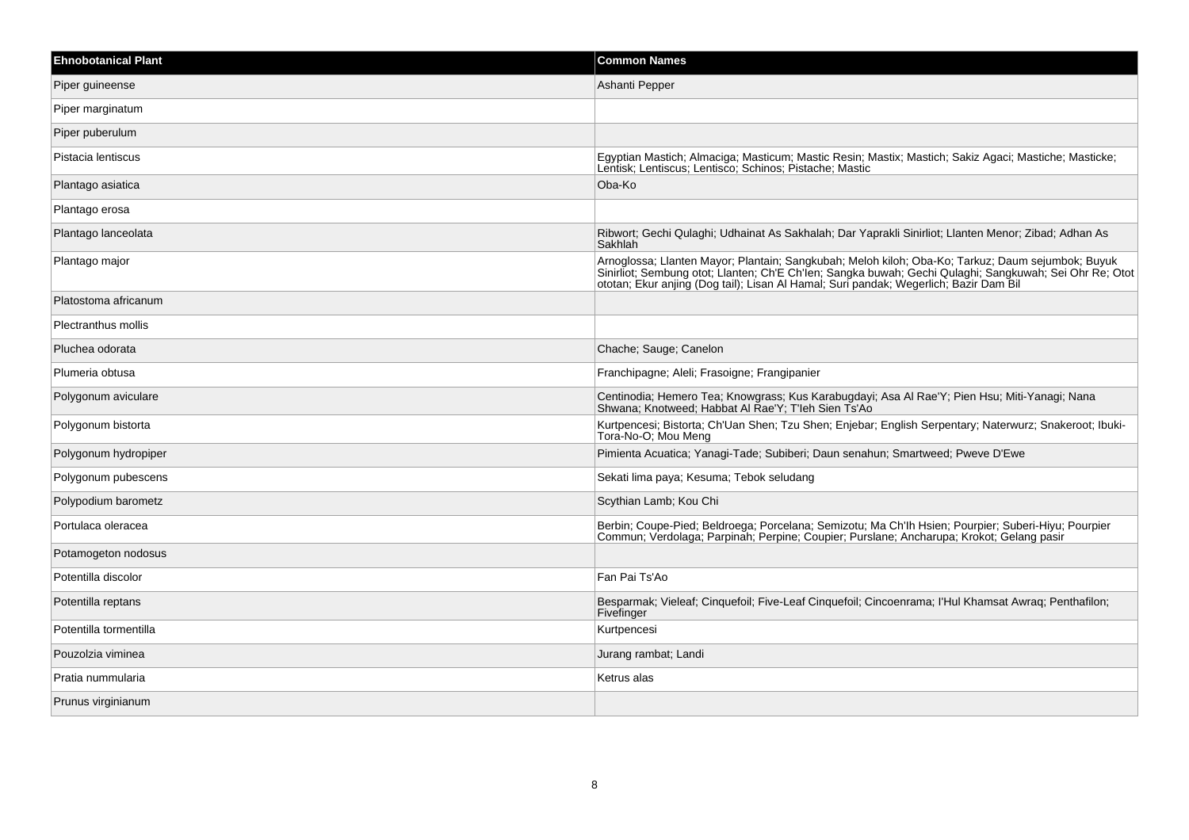| <b>Ehnobotanical Plant</b> | <b>Common Names</b>                                                                                                                                                                                                                 |
|----------------------------|-------------------------------------------------------------------------------------------------------------------------------------------------------------------------------------------------------------------------------------|
| Piper guineense            | Ashanti Pepper                                                                                                                                                                                                                      |
| Piper marginatum           |                                                                                                                                                                                                                                     |
| Piper puberulum            |                                                                                                                                                                                                                                     |
| Pistacia lentiscus         | Egyptian Mastich; Almaciga; Masticum; Mastic Resin; Mastix; Mastich; Sakiz Agaci; Mastiche; Masticke;<br>Lentisk; Lentiscus; Lentisco; Schinos; Pistache; Mastic                                                                    |
| Plantago asiatica          | Oba-Ko                                                                                                                                                                                                                              |
| Plantago erosa             |                                                                                                                                                                                                                                     |
| Plantago lanceolata        | Ribwort; Gechi Qulaghi; Udhainat As Sakhalah; Dar Yaprakli Sinirliot; Llanten Menor; Zibad; Adhan As<br>Sakhlah                                                                                                                     |
| Plantago major             | Arnoglossa; Llanten Mayor; Plantain; Sangkubah; Meloh kiloh; Oba-Ko; Tarkuz; Daum sejumbok; Buyuk<br>Sinirliot; Sembung otot; Llanten; Ch'E Ch'len; Sangka buwah; Gechi Qulaghi; Sangkuwah; Sei Ohr Re; Otot<br>ototan; Ekur anjing |
| Platostoma africanum       |                                                                                                                                                                                                                                     |
| <b>Plectranthus mollis</b> |                                                                                                                                                                                                                                     |
| Pluchea odorata            | Chache; Sauge; Canelon                                                                                                                                                                                                              |
| Plumeria obtusa            | Franchipagne; Aleli; Frasoigne; Frangipanier                                                                                                                                                                                        |
| Polygonum aviculare        | Centinodia; Hemero Tea; Knowgrass; Kus Karabugdayi; Asa Al Rae'Y; Pien Hsu; Miti-Yanagi; Nana<br>Shwana; Knotweed; Habbat Al Rae'Y; T'leh Sien Ts'Ao                                                                                |
| Polygonum bistorta         | Kurtpencesi; Bistorta; Ch'Uan Shen; Tzu Shen; Enjebar; English Serpentary; Naterwurz; Snakeroot; Ibuki-<br>Tora-No-O; Mou Meng                                                                                                      |
| Polygonum hydropiper       | Pimienta Acuatica; Yanagi-Tade; Subiberi; Daun senahun; Smartweed; Pweve D'Ewe                                                                                                                                                      |
| Polygonum pubescens        | Sekati lima paya; Kesuma; Tebok seludang                                                                                                                                                                                            |
| Polypodium barometz        | Scythian Lamb; Kou Chi                                                                                                                                                                                                              |
| Portulaca oleracea         | Berbin; Coupe-Pied; Beldroega; Porcelana; Semizotu; Ma Ch'lh Hsien; Pourpier; Suberi-Hiyu; Pourpier<br>Commun; Verdolaga; Parpinah; Perpine; Coupier; Purslane; Ancharupa; Krokot; Gelang pasir                                     |
| Potamogeton nodosus        |                                                                                                                                                                                                                                     |
| Potentilla discolor        | Fan Pai Ts'Ao                                                                                                                                                                                                                       |
| Potentilla reptans         | Besparmak; Vieleaf; Cinquefoil; Five-Leaf Cinquefoil; Cincoenrama; l'Hul Khamsat Awraq; Penthafilon;<br>Fivefinger                                                                                                                  |
| Potentilla tormentilla     | Kurtpencesi                                                                                                                                                                                                                         |
| Pouzolzia viminea          | Jurang rambat; Landi                                                                                                                                                                                                                |
| Pratia nummularia          | Ketrus alas                                                                                                                                                                                                                         |
| Prunus virginianum         |                                                                                                                                                                                                                                     |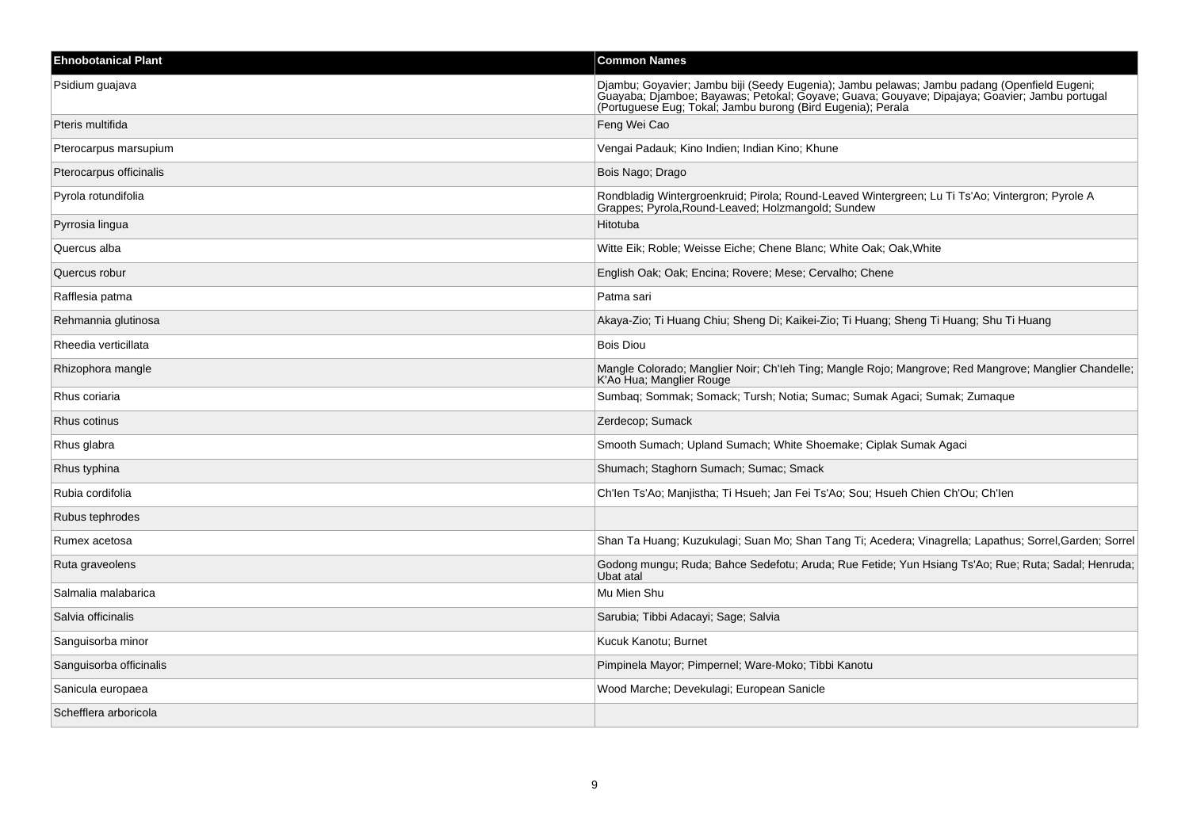| <b>Ehnobotanical Plant</b> | <b>Common Names</b>                                                                                                                                                                                                                                          |
|----------------------------|--------------------------------------------------------------------------------------------------------------------------------------------------------------------------------------------------------------------------------------------------------------|
| Psidium guajava            | Djambu; Goyavier; Jambu biji (Seedy Eugenia); Jambu pelawas; Jambu padang (Openfield Eugeni;<br>Guayaba; Djamboe; Bayawas; Petokal; Goyave; Guava; Gouyave; Dipajaya; Goavier; Jambu portugal<br>(Portuguese Eug; Tokal; Jambu burong (Bird Eugenia); Perala |
| Pteris multifida           | Feng Wei Cao                                                                                                                                                                                                                                                 |
| Pterocarpus marsupium      | Vengai Padauk; Kino Indien; Indian Kino; Khune                                                                                                                                                                                                               |
| Pterocarpus officinalis    | Bois Nago; Drago                                                                                                                                                                                                                                             |
| Pyrola rotundifolia        | Rondbladig Wintergroenkruid; Pirola; Round-Leaved Wintergreen; Lu Ti Ts'Ao; Vintergron; Pyrole A<br>Grappes; Pyrola, Round-Leaved; Holzmangold; Sundew                                                                                                       |
| Pyrrosia lingua            | Hitotuba                                                                                                                                                                                                                                                     |
| Quercus alba               | Witte Eik; Roble; Weisse Eiche; Chene Blanc; White Oak; Oak, White                                                                                                                                                                                           |
| Quercus robur              | English Oak; Oak; Encina; Rovere; Mese; Cervalho; Chene                                                                                                                                                                                                      |
| Rafflesia patma            | Patma sari                                                                                                                                                                                                                                                   |
| Rehmannia glutinosa        | Akaya-Zio; Ti Huang Chiu; Sheng Di; Kaikei-Zio; Ti Huang; Sheng Ti Huang; Shu Ti Huang                                                                                                                                                                       |
| Rheedia verticillata       | <b>Bois Diou</b>                                                                                                                                                                                                                                             |
| Rhizophora mangle          | Mangle Colorado; Manglier Noir; Ch'leh Ting; Mangle Rojo; Mangrove; Red Mangrove; Manglier Chandelle;<br>K'Ao Hua; Manglier Rouge                                                                                                                            |
| Rhus coriaria              | Sumbaq; Sommak; Somack; Tursh; Notia; Sumac; Sumak Agaci; Sumak; Zumaque                                                                                                                                                                                     |
| Rhus cotinus               | Zerdecop; Sumack                                                                                                                                                                                                                                             |
| Rhus glabra                | Smooth Sumach; Upland Sumach; White Shoemake; Ciplak Sumak Agaci                                                                                                                                                                                             |
| Rhus typhina               | Shumach; Staghorn Sumach; Sumac; Smack                                                                                                                                                                                                                       |
| Rubia cordifolia           | Ch'len Ts'Ao; Manjistha; Ti Hsueh; Jan Fei Ts'Ao; Sou; Hsueh Chien Ch'Ou; Ch'len                                                                                                                                                                             |
| Rubus tephrodes            |                                                                                                                                                                                                                                                              |
| Rumex acetosa              | Shan Ta Huang; Kuzukulagi; Suan Mo; Shan Tang Ti; Acedera; Vinagrella; Lapathus; Sorrel, Garden; Sorrel                                                                                                                                                      |
| Ruta graveolens            | Godong mungu; Ruda; Bahce Sedefotu; Aruda; Rue Fetide; Yun Hsiang Ts'Ao; Rue; Ruta; Sadal; Henruda;<br>Ubat atal                                                                                                                                             |
| Salmalia malabarica        | Mu Mien Shu                                                                                                                                                                                                                                                  |
| Salvia officinalis         | Sarubia; Tibbi Adacayi; Sage; Salvia                                                                                                                                                                                                                         |
| Sanguisorba minor          | Kucuk Kanotu; Burnet                                                                                                                                                                                                                                         |
| Sanguisorba officinalis    | Pimpinela Mayor; Pimpernel; Ware-Moko; Tibbi Kanotu                                                                                                                                                                                                          |
| Sanicula europaea          | Wood Marche; Devekulagi; European Sanicle                                                                                                                                                                                                                    |
| Schefflera arboricola      |                                                                                                                                                                                                                                                              |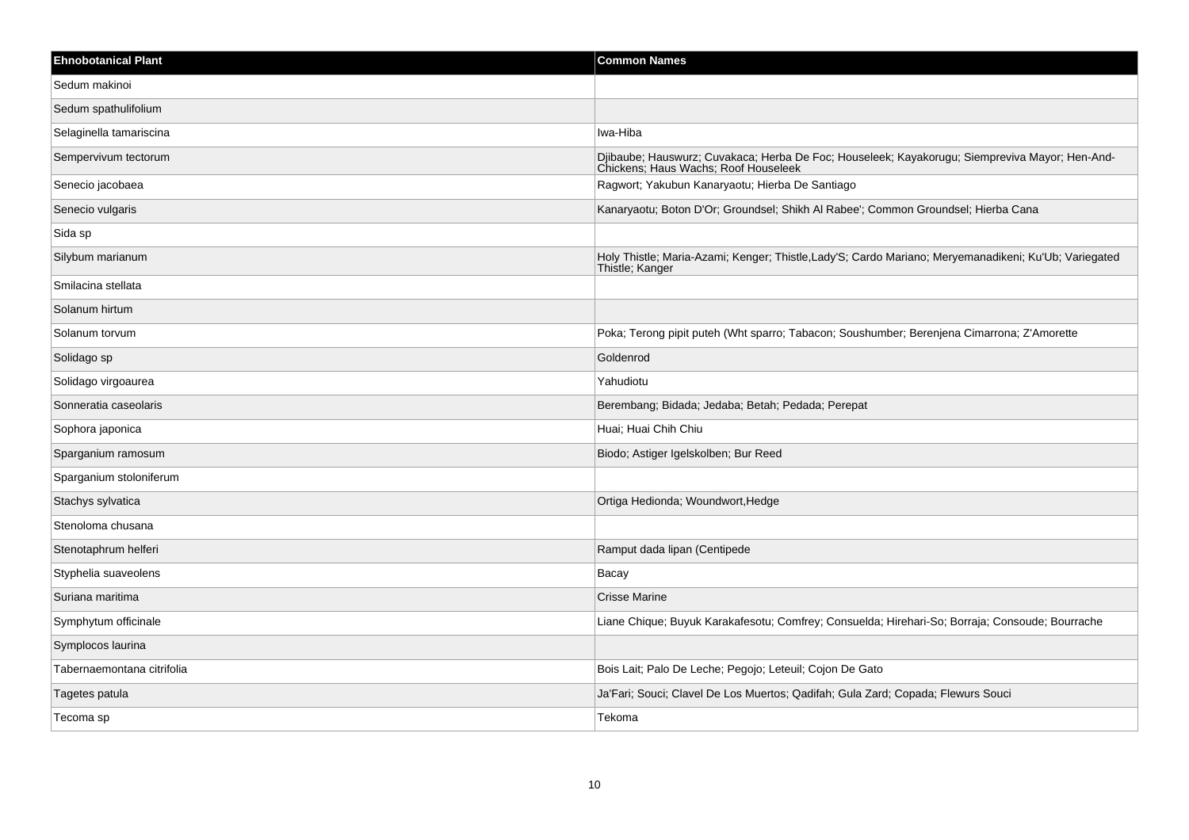| <b>Ehnobotanical Plant</b> | <b>Common Names</b>                                                                                                                    |
|----------------------------|----------------------------------------------------------------------------------------------------------------------------------------|
| Sedum makinoi              |                                                                                                                                        |
| Sedum spathulifolium       |                                                                                                                                        |
| Selaginella tamariscina    | Iwa-Hiba                                                                                                                               |
| Sempervivum tectorum       | Djibaube; Hauswurz; Cuvakaca; Herba De Foc; Houseleek; Kayakorugu; Siempreviva Mayor; Hen-And-<br>Chickens; Haus Wachs; Roof Houseleek |
| Senecio jacobaea           | Ragwort; Yakubun Kanaryaotu; Hierba De Santiago                                                                                        |
| Senecio vulgaris           | Kanaryaotu; Boton D'Or; Groundsel; Shikh Al Rabee'; Common Groundsel; Hierba Cana                                                      |
| Sida sp                    |                                                                                                                                        |
| Silybum marianum           | Holy Thistle; Maria-Azami; Kenger; Thistle,Lady'S; Cardo Mariano; Meryemanadikeni; Ku'Ub; Variegated<br>Thistle; Kanger                |
| Smilacina stellata         |                                                                                                                                        |
| Solanum hirtum             |                                                                                                                                        |
| Solanum torvum             | Poka; Terong pipit puteh (Wht sparro; Tabacon; Soushumber; Berenjena Cimarrona; Z'Amorette                                             |
| Solidago sp                | Goldenrod                                                                                                                              |
| Solidago virgoaurea        | Yahudiotu                                                                                                                              |
| Sonneratia caseolaris      | Berembang; Bidada; Jedaba; Betah; Pedada; Perepat                                                                                      |
| Sophora japonica           | Huai; Huai Chih Chiu                                                                                                                   |
| Sparganium ramosum         | Biodo; Astiger Igelskolben; Bur Reed                                                                                                   |
| Sparganium stoloniferum    |                                                                                                                                        |
| Stachys sylvatica          | Ortiga Hedionda; Woundwort, Hedge                                                                                                      |
| Stenoloma chusana          |                                                                                                                                        |
| Stenotaphrum helferi       | Ramput dada lipan (Centipede                                                                                                           |
| Styphelia suaveolens       | Bacay                                                                                                                                  |
| Suriana maritima           | <b>Crisse Marine</b>                                                                                                                   |
| Symphytum officinale       | Liane Chique; Buyuk Karakafesotu; Comfrey; Consuelda; Hirehari-So; Borraja; Consoude; Bourrache                                        |
| Symplocos laurina          |                                                                                                                                        |
| Tabernaemontana citrifolia | Bois Lait; Palo De Leche; Pegojo; Leteuil; Cojon De Gato                                                                               |
| Tagetes patula             | Ja'Fari; Souci; Clavel De Los Muertos; Qadifah; Gula Zard; Copada; Flewurs Souci                                                       |
| Tecoma sp                  | Tekoma                                                                                                                                 |